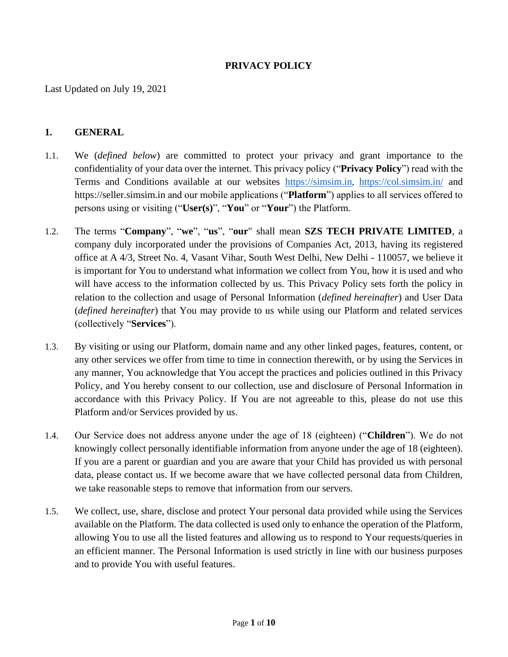#### **PRIVACY POLICY**

Last Updated on July 19, 2021

#### **1. GENERAL**

- 1.1. We (*defined below*) are committed to protect your privacy and grant importance to the confidentiality of your data over the internet. This privacy policy ("**Privacy Policy**") read with the Terms and Conditions available at our websites [https://simsim.in](https://simsim.in/), <https://col.simsim.in/> and https://seller.simsim.in and our mobile applications ("**Platform**") applies to all services offered to persons using or visiting ("**User(s)**", "**You**" or "**Your**") the Platform*.*
- 1.2. The terms "**Company**", "**we**", "**us**", "**our**" shall mean **SZS TECH PRIVATE LIMITED**, a company duly incorporated under the provisions of Companies Act, 2013, having its registered office at A 4/3, Street No. 4, Vasant Vihar, South West Delhi, New Delhi - 110057, we believe it is important for You to understand what information we collect from You, how it is used and who will have access to the information collected by us. This Privacy Policy sets forth the policy in relation to the collection and usage of Personal Information (*defined hereinafter*) and User Data (*defined hereinafter*) that You may provide to us while using our Platform and related services (collectively "**Services**").
- 1.3. By visiting or using our Platform, domain name and any other linked pages, features, content, or any other services we offer from time to time in connection therewith, or by using the Services in any manner, You acknowledge that You accept the practices and policies outlined in this Privacy Policy, and You hereby consent to our collection, use and disclosure of Personal Information in accordance with this Privacy Policy. If You are not agreeable to this, please do not use this Platform and/or Services provided by us.
- 1.4. Our Service does not address anyone under the age of 18 (eighteen) ("**Children**"). We do not knowingly collect personally identifiable information from anyone under the age of 18 (eighteen). If you are a parent or guardian and you are aware that your Child has provided us with personal data, please contact us. If we become aware that we have collected personal data from Children, we take reasonable steps to remove that information from our servers.
- 1.5. We collect, use, share, disclose and protect Your personal data provided while using the Services available on the Platform. The data collected is used only to enhance the operation of the Platform, allowing You to use all the listed features and allowing us to respond to Your requests/queries in an efficient manner. The Personal Information is used strictly in line with our business purposes and to provide You with useful features.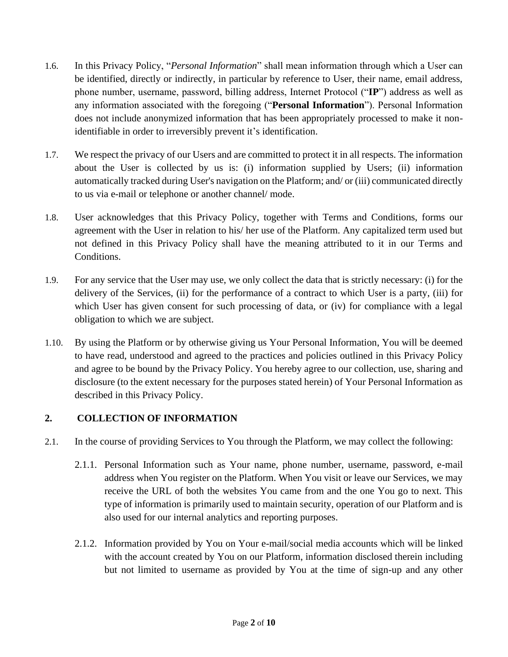- 1.6. In this Privacy Policy, "*Personal Information*" shall mean information through which a User can be identified, directly or indirectly, in particular by reference to User, their name, email address, phone number, username, password, billing address, Internet Protocol ("**IP**") address as well as any information associated with the foregoing ("**Personal Information**"). Personal Information does not include anonymized information that has been appropriately processed to make it nonidentifiable in order to irreversibly prevent it's identification.
- 1.7. We respect the privacy of our Users and are committed to protect it in all respects. The information about the User is collected by us is: (i) information supplied by Users; (ii) information automatically tracked during User's navigation on the Platform; and/ or (iii) communicated directly to us via e-mail or telephone or another channel/ mode.
- 1.8. User acknowledges that this Privacy Policy, together with Terms and Conditions, forms our agreement with the User in relation to his/ her use of the Platform. Any capitalized term used but not defined in this Privacy Policy shall have the meaning attributed to it in our Terms and Conditions.
- 1.9. For any service that the User may use, we only collect the data that is strictly necessary: (i) for the delivery of the Services, (ii) for the performance of a contract to which User is a party, (iii) for which User has given consent for such processing of data, or (iv) for compliance with a legal obligation to which we are subject.
- 1.10. By using the Platform or by otherwise giving us Your Personal Information, You will be deemed to have read, understood and agreed to the practices and policies outlined in this Privacy Policy and agree to be bound by the Privacy Policy. You hereby agree to our collection, use, sharing and disclosure (to the extent necessary for the purposes stated herein) of Your Personal Information as described in this Privacy Policy.

# **2. COLLECTION OF INFORMATION**

- 2.1. In the course of providing Services to You through the Platform, we may collect the following:
	- 2.1.1. Personal Information such as Your name, phone number, username, password, e-mail address when You register on the Platform. When You visit or leave our Services, we may receive the URL of both the websites You came from and the one You go to next. This type of information is primarily used to maintain security, operation of our Platform and is also used for our internal analytics and reporting purposes.
	- 2.1.2. Information provided by You on Your e-mail/social media accounts which will be linked with the account created by You on our Platform, information disclosed therein including but not limited to username as provided by You at the time of sign-up and any other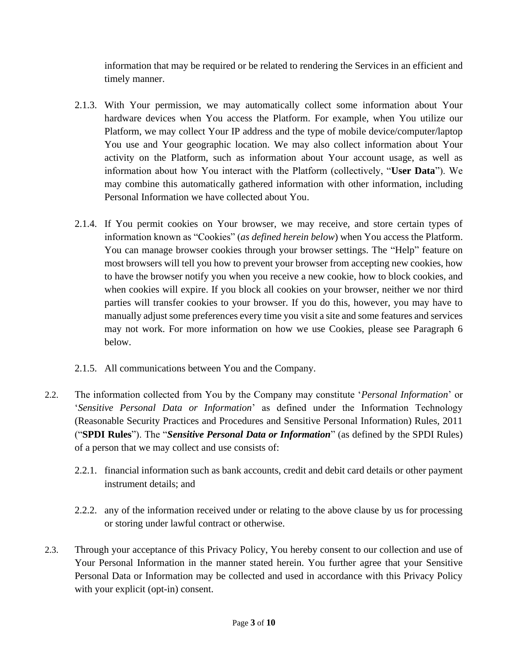information that may be required or be related to rendering the Services in an efficient and timely manner.

- 2.1.3. With Your permission, we may automatically collect some information about Your hardware devices when You access the Platform. For example, when You utilize our Platform, we may collect Your IP address and the type of mobile device/computer/laptop You use and Your geographic location. We may also collect information about Your activity on the Platform, such as information about Your account usage, as well as information about how You interact with the Platform (collectively, "**User Data**"). We may combine this automatically gathered information with other information, including Personal Information we have collected about You.
- 2.1.4. If You permit cookies on Your browser, we may receive, and store certain types of information known as "Cookies" (*as defined herein below*) when You access the Platform. You can manage browser cookies through your browser settings. The "Help" feature on most browsers will tell you how to prevent your browser from accepting new cookies, how to have the browser notify you when you receive a new cookie, how to block cookies, and when cookies will expire. If you block all cookies on your browser, neither we nor third parties will transfer cookies to your browser. If you do this, however, you may have to manually adjust some preferences every time you visit a site and some features and services may not work. For more information on how we use Cookies, please see Paragraph 6 below.
- 2.1.5. All communications between You and the Company.
- 2.2. The information collected from You by the Company may constitute '*Personal Information*' or '*Sensitive Personal Data or Information*' as defined under the Information Technology (Reasonable Security Practices and Procedures and Sensitive Personal Information) Rules, 2011 ("**SPDI Rules**"). The "*Sensitive Personal Data or Information*" (as defined by the SPDI Rules) of a person that we may collect and use consists of:
	- 2.2.1. financial information such as bank accounts, credit and debit card details or other payment instrument details; and
	- 2.2.2. any of the information received under or relating to the above clause by us for processing or storing under lawful contract or otherwise.
- 2.3. Through your acceptance of this Privacy Policy, You hereby consent to our collection and use of Your Personal Information in the manner stated herein. You further agree that your Sensitive Personal Data or Information may be collected and used in accordance with this Privacy Policy with your explicit (opt-in) consent.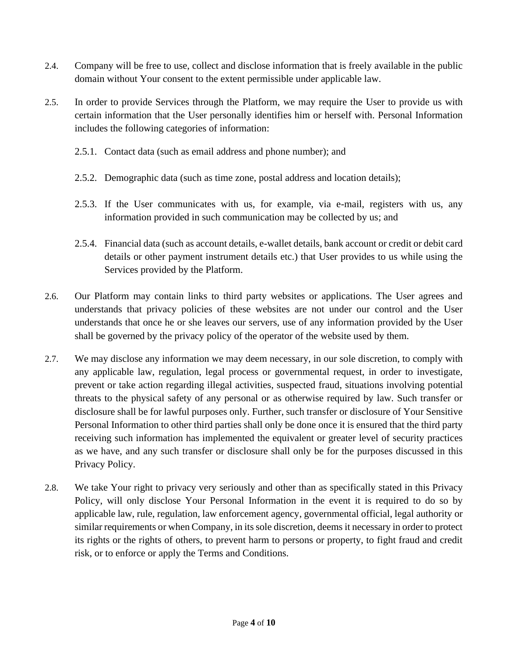- 2.4. Company will be free to use, collect and disclose information that is freely available in the public domain without Your consent to the extent permissible under applicable law.
- 2.5. In order to provide Services through the Platform, we may require the User to provide us with certain information that the User personally identifies him or herself with. Personal Information includes the following categories of information:
	- 2.5.1. Contact data (such as email address and phone number); and
	- 2.5.2. Demographic data (such as time zone, postal address and location details);
	- 2.5.3. If the User communicates with us, for example, via e-mail, registers with us, any information provided in such communication may be collected by us; and
	- 2.5.4. Financial data (such as account details, e-wallet details, bank account or credit or debit card details or other payment instrument details etc.) that User provides to us while using the Services provided by the Platform.
- 2.6. Our Platform may contain links to third party websites or applications. The User agrees and understands that privacy policies of these websites are not under our control and the User understands that once he or she leaves our servers, use of any information provided by the User shall be governed by the privacy policy of the operator of the website used by them.
- 2.7. We may disclose any information we may deem necessary, in our sole discretion, to comply with any applicable law, regulation, legal process or governmental request, in order to investigate, prevent or take action regarding illegal activities, suspected fraud, situations involving potential threats to the physical safety of any personal or as otherwise required by law. Such transfer or disclosure shall be for lawful purposes only. Further, such transfer or disclosure of Your Sensitive Personal Information to other third parties shall only be done once it is ensured that the third party receiving such information has implemented the equivalent or greater level of security practices as we have, and any such transfer or disclosure shall only be for the purposes discussed in this Privacy Policy.
- 2.8. We take Your right to privacy very seriously and other than as specifically stated in this Privacy Policy, will only disclose Your Personal Information in the event it is required to do so by applicable law, rule, regulation, law enforcement agency, governmental official, legal authority or similar requirements or when Company, in its sole discretion, deems it necessary in order to protect its rights or the rights of others, to prevent harm to persons or property, to fight fraud and credit risk, or to enforce or apply the Terms and Conditions.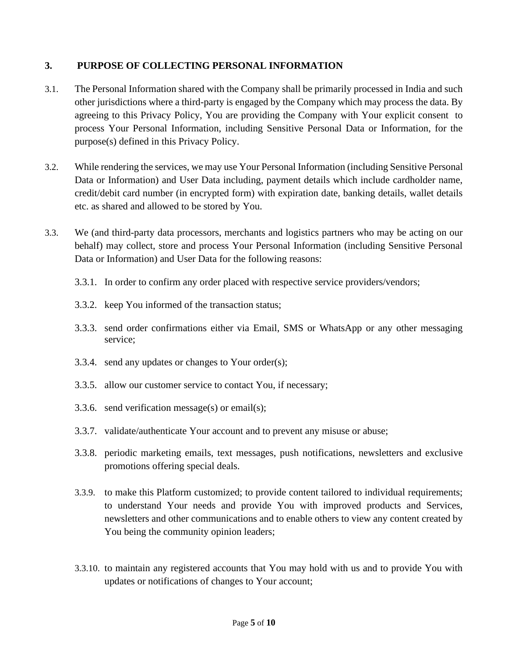### **3. PURPOSE OF COLLECTING PERSONAL INFORMATION**

- 3.1. The Personal Information shared with the Company shall be primarily processed in India and such other jurisdictions where a third-party is engaged by the Company which may process the data. By agreeing to this Privacy Policy, You are providing the Company with Your explicit consent to process Your Personal Information, including Sensitive Personal Data or Information, for the purpose(s) defined in this Privacy Policy.
- 3.2. While rendering the services, we may use Your Personal Information (including Sensitive Personal Data or Information) and User Data including, payment details which include cardholder name, credit/debit card number (in encrypted form) with expiration date, banking details, wallet details etc. as shared and allowed to be stored by You.
- 3.3. We (and third-party data processors, merchants and logistics partners who may be acting on our behalf) may collect, store and process Your Personal Information (including Sensitive Personal Data or Information) and User Data for the following reasons:
	- 3.3.1. In order to confirm any order placed with respective service providers/vendors;
	- 3.3.2. keep You informed of the transaction status;
	- 3.3.3. send order confirmations either via Email, SMS or WhatsApp or any other messaging service;
	- 3.3.4. send any updates or changes to Your order(s);
	- 3.3.5. allow our customer service to contact You, if necessary;
	- 3.3.6. send verification message(s) or email(s);
	- 3.3.7. validate/authenticate Your account and to prevent any misuse or abuse;
	- 3.3.8. periodic marketing emails, text messages, push notifications, newsletters and exclusive promotions offering special deals.
	- 3.3.9. to make this Platform customized; to provide content tailored to individual requirements; to understand Your needs and provide You with improved products and Services, newsletters and other communications and to enable others to view any content created by You being the community opinion leaders;
	- 3.3.10. to maintain any registered accounts that You may hold with us and to provide You with updates or notifications of changes to Your account;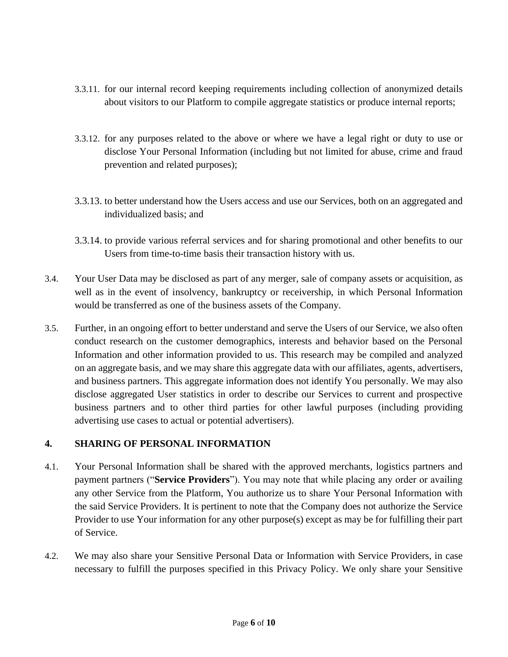- 3.3.11. for our internal record keeping requirements including collection of anonymized details about visitors to our Platform to compile aggregate statistics or produce internal reports;
- 3.3.12. for any purposes related to the above or where we have a legal right or duty to use or disclose Your Personal Information (including but not limited for abuse, crime and fraud prevention and related purposes);
- 3.3.13. to better understand how the Users access and use our Services, both on an aggregated and individualized basis; and
- 3.3.14. to provide various referral services and for sharing promotional and other benefits to our Users from time-to-time basis their transaction history with us.
- 3.4. Your User Data may be disclosed as part of any merger, sale of company assets or acquisition, as well as in the event of insolvency, bankruptcy or receivership, in which Personal Information would be transferred as one of the business assets of the Company.
- 3.5. Further, in an ongoing effort to better understand and serve the Users of our Service, we also often conduct research on the customer demographics, interests and behavior based on the Personal Information and other information provided to us. This research may be compiled and analyzed on an aggregate basis, and we may share this aggregate data with our affiliates, agents, advertisers, and business partners. This aggregate information does not identify You personally. We may also disclose aggregated User statistics in order to describe our Services to current and prospective business partners and to other third parties for other lawful purposes (including providing advertising use cases to actual or potential advertisers).

#### **4. SHARING OF PERSONAL INFORMATION**

- 4.1. Your Personal Information shall be shared with the approved merchants, logistics partners and payment partners ("**Service Providers**"). You may note that while placing any order or availing any other Service from the Platform, You authorize us to share Your Personal Information with the said Service Providers. It is pertinent to note that the Company does not authorize the Service Provider to use Your information for any other purpose(s) except as may be for fulfilling their part of Service.
- 4.2. We may also share your Sensitive Personal Data or Information with Service Providers, in case necessary to fulfill the purposes specified in this Privacy Policy. We only share your Sensitive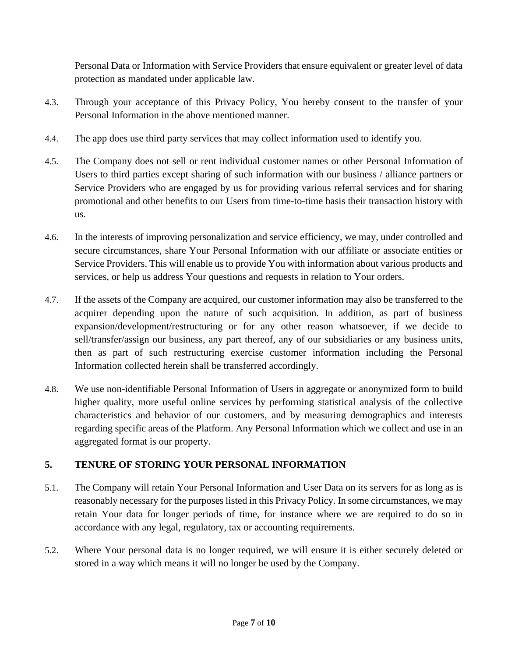Personal Data or Information with Service Providers that ensure equivalent or greater level of data protection as mandated under applicable law.

- 4.3. Through your acceptance of this Privacy Policy, You hereby consent to the transfer of your Personal Information in the above mentioned manner.
- 4.4. The app does use third party services that may collect information used to identify you.
- 4.5. The Company does not sell or rent individual customer names or other Personal Information of Users to third parties except sharing of such information with our business / alliance partners or Service Providers who are engaged by us for providing various referral services and for sharing promotional and other benefits to our Users from time-to-time basis their transaction history with us.
- 4.6. In the interests of improving personalization and service efficiency, we may, under controlled and secure circumstances, share Your Personal Information with our affiliate or associate entities or Service Providers. This will enable us to provide You with information about various products and services, or help us address Your questions and requests in relation to Your orders.
- 4.7. If the assets of the Company are acquired, our customer information may also be transferred to the acquirer depending upon the nature of such acquisition. In addition, as part of business expansion/development/restructuring or for any other reason whatsoever, if we decide to sell/transfer/assign our business, any part thereof, any of our subsidiaries or any business units, then as part of such restructuring exercise customer information including the Personal Information collected herein shall be transferred accordingly.
- 4.8. We use non-identifiable Personal Information of Users in aggregate or anonymized form to build higher quality, more useful online services by performing statistical analysis of the collective characteristics and behavior of our customers, and by measuring demographics and interests regarding specific areas of the Platform. Any Personal Information which we collect and use in an aggregated format is our property.

# **5. TENURE OF STORING YOUR PERSONAL INFORMATION**

- 5.1. The Company will retain Your Personal Information and User Data on its servers for as long as is reasonably necessary for the purposes listed in this Privacy Policy. In some circumstances, we may retain Your data for longer periods of time, for instance where we are required to do so in accordance with any legal, regulatory, tax or accounting requirements.
- 5.2. Where Your personal data is no longer required, we will ensure it is either securely deleted or stored in a way which means it will no longer be used by the Company.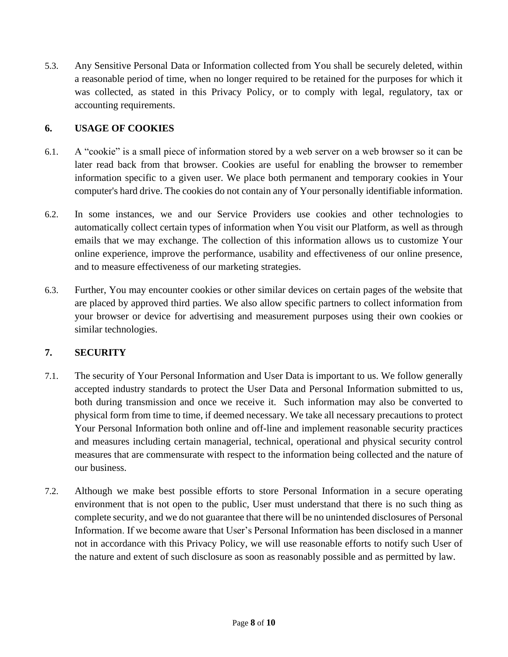5.3. Any Sensitive Personal Data or Information collected from You shall be securely deleted, within a reasonable period of time, when no longer required to be retained for the purposes for which it was collected, as stated in this Privacy Policy, or to comply with legal, regulatory, tax or accounting requirements.

#### **6. USAGE OF COOKIES**

- 6.1. A "cookie" is a small piece of information stored by a web server on a web browser so it can be later read back from that browser. Cookies are useful for enabling the browser to remember information specific to a given user. We place both permanent and temporary cookies in Your computer's hard drive. The cookies do not contain any of Your personally identifiable information.
- 6.2. In some instances, we and our Service Providers use cookies and other technologies to automatically collect certain types of information when You visit our Platform, as well as through emails that we may exchange. The collection of this information allows us to customize Your online experience, improve the performance, usability and effectiveness of our online presence, and to measure effectiveness of our marketing strategies.
- 6.3. Further, You may encounter cookies or other similar devices on certain pages of the website that are placed by approved third parties. We also allow specific partners to collect information from your browser or device for advertising and measurement purposes using their own cookies or similar technologies.

# **7. SECURITY**

- 7.1. The security of Your Personal Information and User Data is important to us. We follow generally accepted industry standards to protect the User Data and Personal Information submitted to us, both during transmission and once we receive it. Such information may also be converted to physical form from time to time, if deemed necessary. We take all necessary precautions to protect Your Personal Information both online and off-line and implement reasonable security practices and measures including certain managerial, technical, operational and physical security control measures that are commensurate with respect to the information being collected and the nature of our business.
- 7.2. Although we make best possible efforts to store Personal Information in a secure operating environment that is not open to the public, User must understand that there is no such thing as complete security, and we do not guarantee that there will be no unintended disclosures of Personal Information. If we become aware that User's Personal Information has been disclosed in a manner not in accordance with this Privacy Policy, we will use reasonable efforts to notify such User of the nature and extent of such disclosure as soon as reasonably possible and as permitted by law.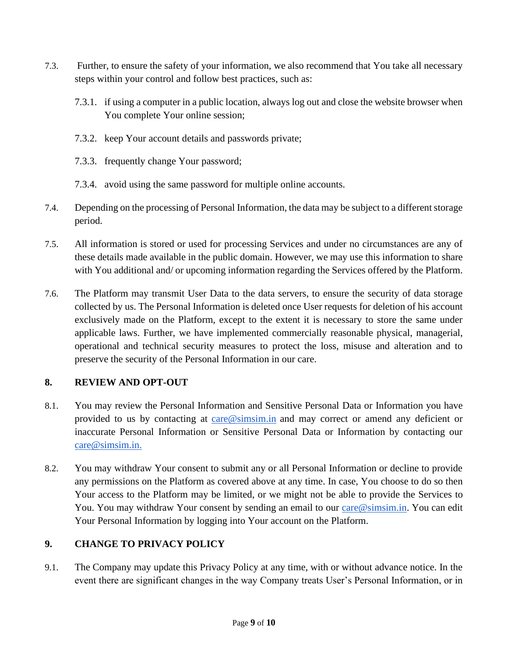- 7.3. Further, to ensure the safety of your information, we also recommend that You take all necessary steps within your control and follow best practices, such as:
	- 7.3.1. if using a computer in a public location, always log out and close the website browser when You complete Your online session;
	- 7.3.2. keep Your account details and passwords private;
	- 7.3.3. frequently change Your password;
	- 7.3.4. avoid using the same password for multiple online accounts.
- 7.4. Depending on the processing of Personal Information, the data may be subject to a different storage period.
- 7.5. All information is stored or used for processing Services and under no circumstances are any of these details made available in the public domain. However, we may use this information to share with You additional and/ or upcoming information regarding the Services offered by the Platform.
- 7.6. The Platform may transmit User Data to the data servers, to ensure the security of data storage collected by us. The Personal Information is deleted once User requests for deletion of his account exclusively made on the Platform, except to the extent it is necessary to store the same under applicable laws. Further, we have implemented commercially reasonable physical, managerial, operational and technical security measures to protect the loss, misuse and alteration and to preserve the security of the Personal Information in our care.

# **8. REVIEW AND OPT-OUT**

- 8.1. You may review the Personal Information and Sensitive Personal Data or Information you have provided to us by contacting at [care@simsim.in](mailto:care@simsim.in) and may correct or amend any deficient or inaccurate Personal Information or Sensitive Personal Data or Information by contacting our [care@simsim.in](mailto:care@simsim.in)[.](mailto:grievance.officer@simsim.in)
- 8.2. You may withdraw Your consent to submit any or all Personal Information or decline to provide any permissions on the Platform as covered above at any time. In case, You choose to do so then Your access to the Platform may be limited, or we might not be able to provide the Services to You. You may withdraw Your consent by sending an email to our [care@simsim.in.](mailto:care@simsim.in) You can edit Your Personal Information by logging into Your account on the Platform.

# **9. CHANGE TO PRIVACY POLICY**

9.1. The Company may update this Privacy Policy at any time, with or without advance notice. In the event there are significant changes in the way Company treats User's Personal Information, or in